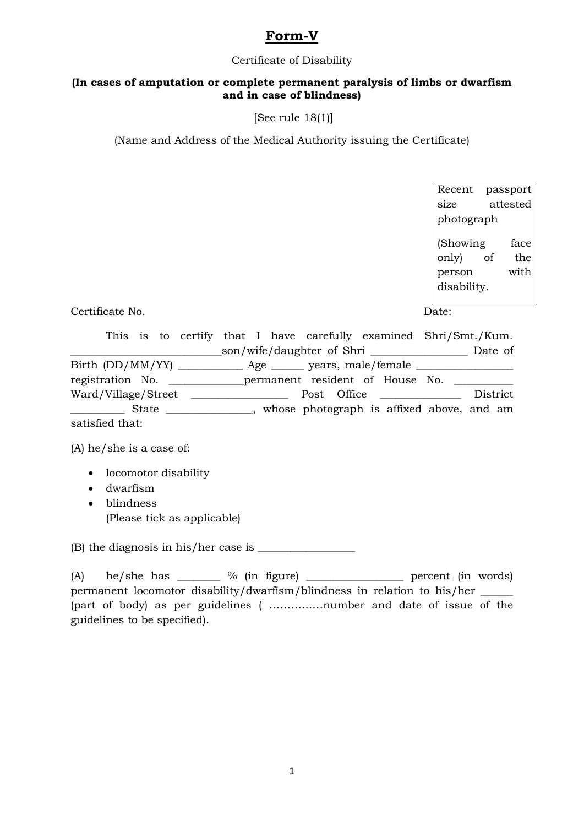# **Form-V**

#### Certificate of Disability

### **(In cases of amputation or complete permanent paralysis of limbs or dwarfism and in case of blindness)**

[See rule 18(1)]

(Name and Address of the Medical Authority issuing the Certificate)

Recent passport size attested photograph (Showing face only) of the person with disability.

Certificate No. Date:

This is to certify that I have carefully examined Shri/Smt./Kum. \_\_\_\_\_\_\_\_\_\_\_\_\_\_\_\_\_\_\_\_\_\_\_\_\_\_\_\_son/wife/daughter of Shri \_\_\_\_\_\_\_\_\_\_\_\_\_\_\_\_\_\_ Date of Birth (DD/MM/YY) \_\_\_\_\_\_\_\_\_\_\_\_ Age \_\_\_\_\_\_ years, male/female \_\_\_\_\_\_\_\_\_\_\_\_\_\_\_\_\_\_ registration No. \_\_\_\_\_\_\_\_\_\_\_\_\_\_\_permanent resident of House No. \_\_\_\_\_\_\_\_\_\_\_\_\_\_\_\_ Ward/Village/Street \_\_\_\_\_\_\_\_\_\_\_\_\_\_\_\_\_\_ Post Office \_\_\_\_\_\_\_\_\_\_\_\_\_\_\_ District \_\_\_\_\_\_\_\_\_\_ State \_\_\_\_\_\_\_\_\_\_\_\_\_\_\_\_, whose photograph is affixed above, and am satisfied that:

(A) he/she is a case of:

- locomotor disability
- dwarfism
- blindness (Please tick as applicable)

 $(B)$  the diagnosis in his/her case is  $\frac{1}{1}$ 

(A) he/she has  $\frac{1}{2}$  % (in figure)  $\frac{1}{2}$  percent (in words) permanent locomotor disability/dwarfism/blindness in relation to his/her \_\_\_\_\_\_ (part of body) as per guidelines ( ……………number and date of issue of the guidelines to be specified).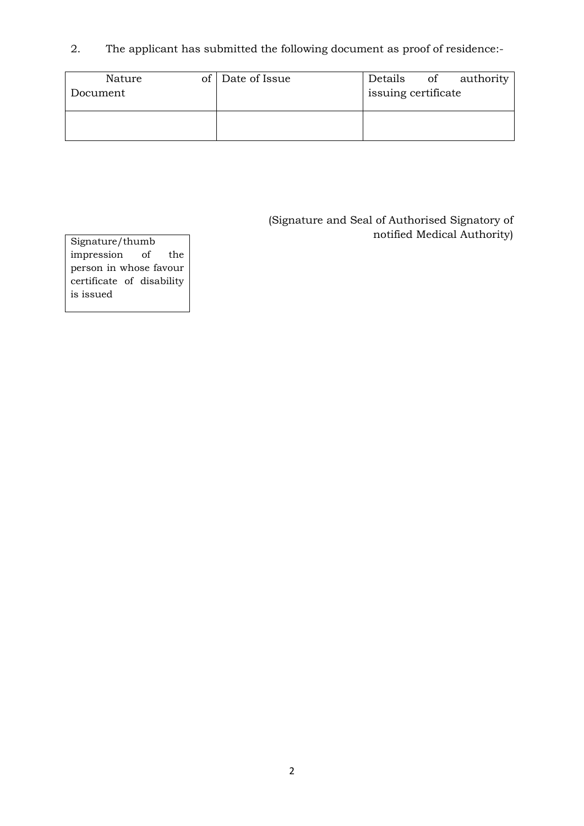2. The applicant has submitted the following document as proof of residence:-

| Nature<br>Document | of Date of Issue | Details<br>issuing certificate | of | authority |
|--------------------|------------------|--------------------------------|----|-----------|
|                    |                  |                                |    |           |

(Signature and Seal of Authorised Signatory of notified Medical Authority) Signature/thumb

impression of the person in whose favour certificate of disability is issued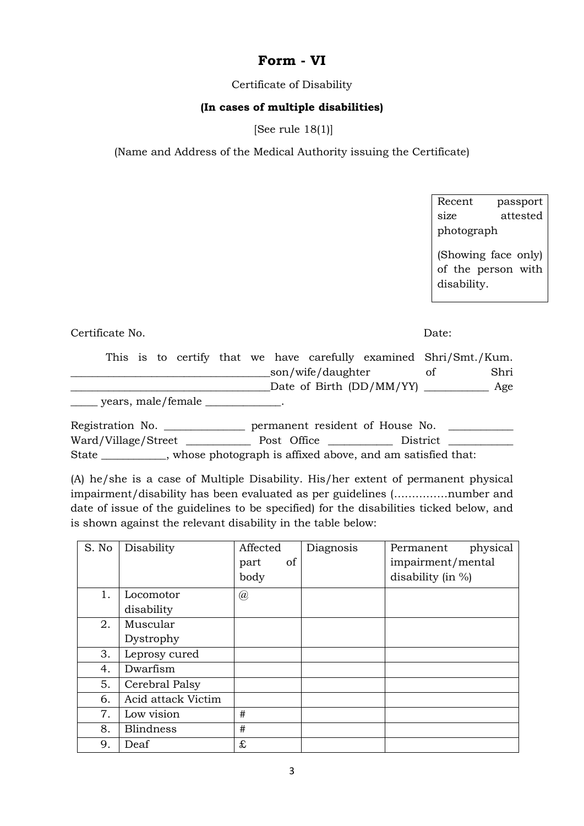## **Form - VI**

Certificate of Disability

### **(In cases of multiple disabilities)**

[See rule 18(1)]

(Name and Address of the Medical Authority issuing the Certificate)

Recent passport size attested photograph

(Showing face only) of the person with disability.

Certificate No. Date:

|                    |  |  |  |                     |                                |    | This is to certify that we have carefully examined Shri/Smt./Kum. |
|--------------------|--|--|--|---------------------|--------------------------------|----|-------------------------------------------------------------------|
|                    |  |  |  | _son/wife/daughter_ |                                | Ωt | Shri                                                              |
|                    |  |  |  |                     | Date of Birth (DD/MM/YY) _____ |    | Age                                                               |
| years, male/female |  |  |  |                     |                                |    |                                                                   |

Registration No. \_\_\_\_\_\_\_\_\_\_\_\_\_\_\_\_\_\_ permanent resident of House No. Ward/Village/Street \_\_\_\_\_\_\_\_\_\_\_\_ Post Office \_\_\_\_\_\_\_\_\_\_\_\_ District \_\_\_\_\_\_\_\_\_\_\_\_ State \_\_\_\_\_\_\_\_\_\_\_\_, whose photograph is affixed above, and am satisfied that:

(A) he/she is a case of Multiple Disability. His/her extent of permanent physical impairment/disability has been evaluated as per guidelines (……………number and date of issue of the guidelines to be specified) for the disabilities ticked below, and is shown against the relevant disability in the table below:

| S. No | Disability         | Affected             | Diagnosis | physical<br>Permanent |
|-------|--------------------|----------------------|-----------|-----------------------|
|       |                    | of<br>part           |           | impairment/mental     |
|       |                    | body                 |           | disability (in $\%$ ) |
| 1.    | Locomotor          | $^{\textregistered}$ |           |                       |
|       | disability         |                      |           |                       |
| 2.    | Muscular           |                      |           |                       |
|       | Dystrophy          |                      |           |                       |
| 3.    | Leprosy cured      |                      |           |                       |
| 4.    | Dwarfism           |                      |           |                       |
| 5.    | Cerebral Palsy     |                      |           |                       |
| 6.    | Acid attack Victim |                      |           |                       |
| 7.    | Low vision         | #                    |           |                       |
| 8.    | <b>Blindness</b>   | #                    |           |                       |
| 9.    | Deaf               | £                    |           |                       |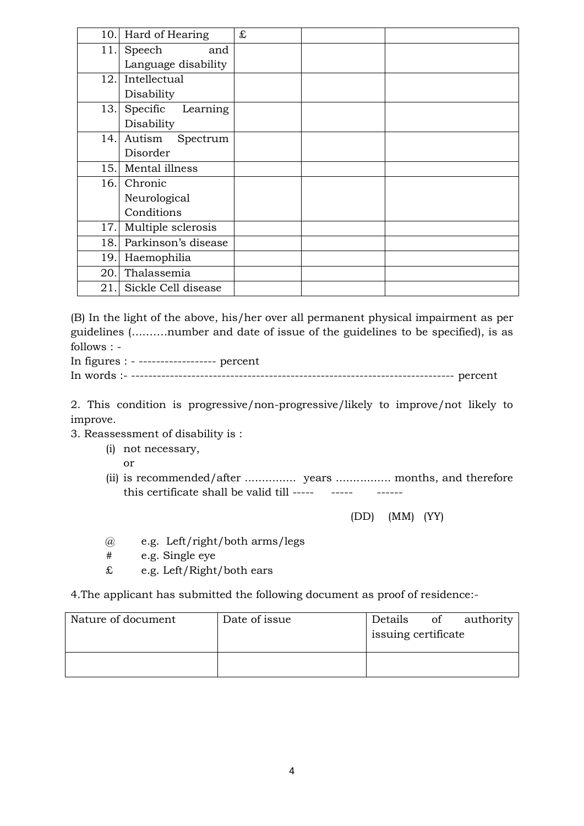| 10.1 | Hard of Hearing      | £ |  |
|------|----------------------|---|--|
| 11.  | Speech<br>and        |   |  |
|      | Language disability  |   |  |
| 12.1 | Intellectual         |   |  |
|      | Disability           |   |  |
| 13.  | Specific<br>Learning |   |  |
|      | Disability           |   |  |
| 14.  | Autism<br>Spectrum   |   |  |
|      | Disorder             |   |  |
| 15.  | Mental illness       |   |  |
|      | 16. Chronic          |   |  |
|      | Neurological         |   |  |
|      | Conditions           |   |  |
| 17.  | Multiple sclerosis   |   |  |
| 18.  | Parkinson's disease  |   |  |
| 19.  | Haemophilia          |   |  |
| 20.  | Thalassemia          |   |  |
| 21.  | Sickle Cell disease  |   |  |

(B) In the light of the above, his/her over all permanent physical impairment as per guidelines (……….number and date of issue of the guidelines to be specified), is as follows : -

In figures : - ------------------ percent

In words :- --------------------------------------------------------------------------- percent

2. This condition is progressive/non-progressive/likely to improve/not likely to improve.

- 3. Reassessment of disability is :
	- (i) not necessary,

or

(ii) is recommended/after ............... years ................ months, and therefore this certificate shall be valid till -----  $\sim$  -----

(DD) (MM) (YY)

- @ e.g. Left/right/both arms/legs
- # e.g. Single eye
- £ e.g. Left/Right/both ears

4.The applicant has submitted the following document as proof of residence:-

| Nature of document | Date of issue | Details<br>issuing certificate | of authority |
|--------------------|---------------|--------------------------------|--------------|
|                    |               |                                |              |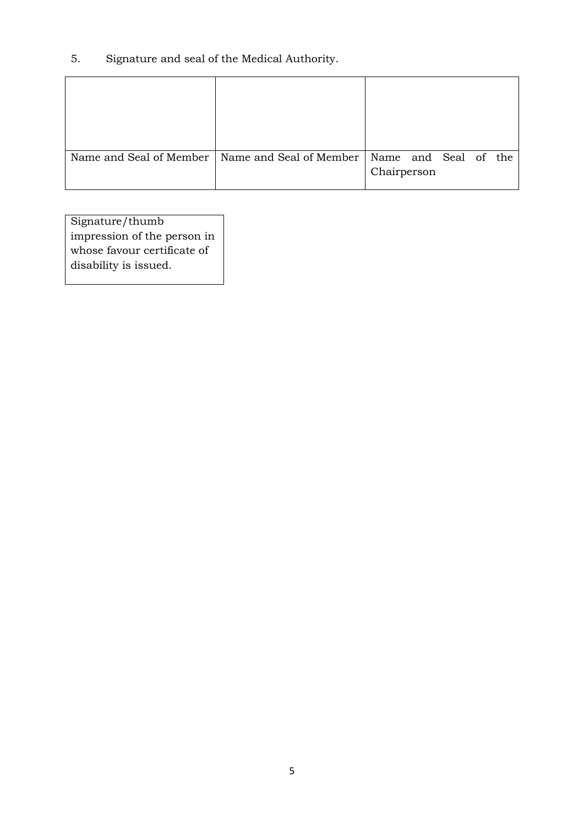5. Signature and seal of the Medical Authority.

| Name and Seal of Member   Name and Seal of Member | Name and Seal of the<br>Chairperson |  |  |
|---------------------------------------------------|-------------------------------------|--|--|

Signature/thumb impression of the person in whose favour certificate of disability is issued.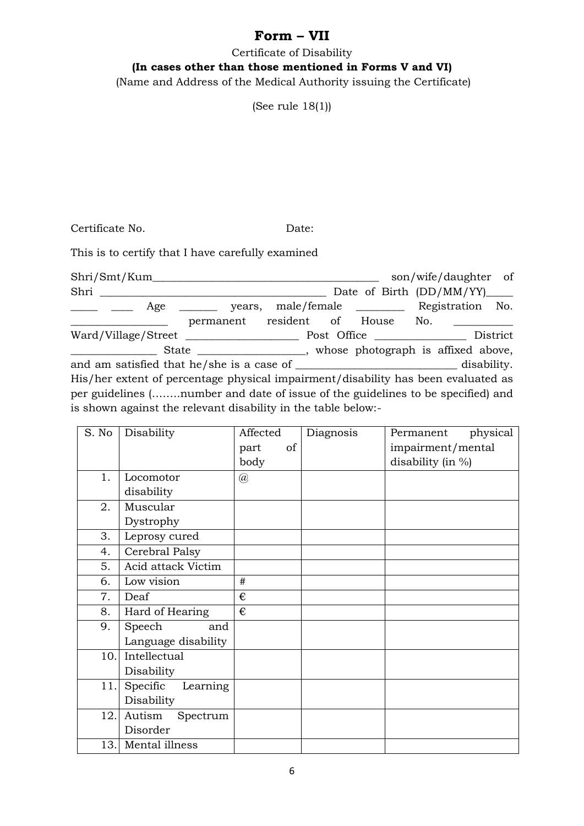# **Form – VII**

Certificate of Disability **(In cases other than those mentioned in Forms V and VI)** (Name and Address of the Medical Authority issuing the Certificate)

(See rule 18(1))

Certificate No. Date:

This is to certify that I have carefully examined

Shri/Smt/Kum\_\_\_\_\_\_\_\_\_\_\_\_\_\_\_\_\_\_\_\_\_\_\_\_\_\_\_\_\_\_\_\_\_\_\_\_\_\_\_\_\_\_ son/wife/daughter of Shri \_\_\_\_\_\_\_\_\_\_\_\_\_\_\_\_\_\_\_\_\_\_\_\_\_\_\_\_\_\_\_\_\_\_\_\_\_\_\_\_\_\_ Date of Birth (DD/MM/YY)\_\_\_\_\_ Age \_\_\_\_\_\_ years, male/female \_\_\_\_\_\_\_\_ Registration No. permanent resident of House No. Ward/Village/Street \_\_\_\_\_\_\_\_\_\_\_\_\_\_\_\_\_\_\_\_\_ Post Office \_\_\_\_\_\_\_\_\_\_\_\_\_\_\_\_\_ District \_\_\_\_\_\_\_\_\_\_\_\_\_\_\_\_ State \_\_\_\_\_\_\_\_\_\_\_\_\_\_\_\_\_\_\_\_, whose photograph is affixed above, and am satisfied that he/she is a case of \_\_\_\_\_\_\_\_\_\_\_\_\_\_\_\_\_\_\_\_\_\_\_\_\_\_\_\_\_\_\_ disability. His/her extent of percentage physical impairment/disability has been evaluated as per guidelines (……..number and date of issue of the guidelines to be specified) and is shown against the relevant disability in the table below:-

| S. No | Disability           | Affected       | Diagnosis | physical<br>Permanent |
|-------|----------------------|----------------|-----------|-----------------------|
|       |                      | of<br>part     |           | impairment/mental     |
|       |                      | body           |           | disability (in %)     |
| 1.    | Locomotor            | $^{\circledR}$ |           |                       |
|       | disability           |                |           |                       |
| 2.    | Muscular             |                |           |                       |
|       | Dystrophy            |                |           |                       |
| 3.    | Leprosy cured        |                |           |                       |
| 4.    | Cerebral Palsy       |                |           |                       |
| 5.    | Acid attack Victim   |                |           |                       |
| 6.    | Low vision           | #              |           |                       |
| 7.    | Deaf                 | €              |           |                       |
| 8.    | Hard of Hearing      | €              |           |                       |
| 9.    | Speech<br>and        |                |           |                       |
|       | Language disability  |                |           |                       |
| 10.   | Intellectual         |                |           |                       |
|       | Disability           |                |           |                       |
| 11.   | Specific<br>Learning |                |           |                       |
|       | Disability           |                |           |                       |
| 12.   | Autism<br>Spectrum   |                |           |                       |
|       | Disorder             |                |           |                       |
| 13.   | Mental illness       |                |           |                       |